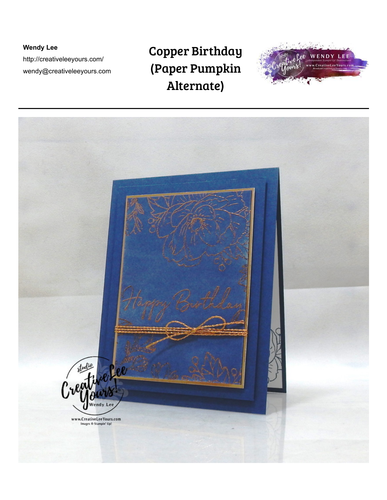**Wendy Lee**  http://creativeleeyours.com/ wendy@creativeleeyours.com

## Copper Birthday (Paper Pumpkin Alternate)



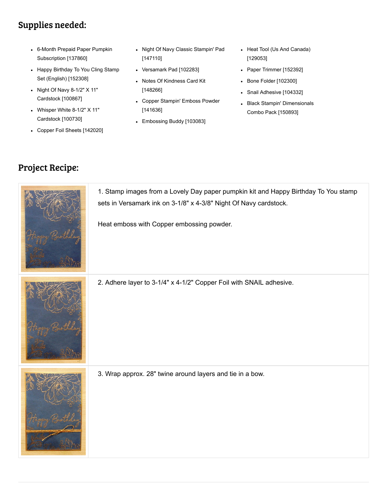## Supplies needed:

- [6-Month Prepaid Paper Pumpkin](http://www.stampinup.com/ECWeb/ProductDetails.aspx?productID=137860&dbwsdemoid=73266) Subscription [137860]
- [Happy Birthday To You Cling Stamp](http://www.stampinup.com/ECWeb/ProductDetails.aspx?productID=152308&dbwsdemoid=73266) Set (English) [152308]
- [Night Of Navy 8-1/2" X 11"](http://www.stampinup.com/ECWeb/ProductDetails.aspx?productID=100867&dbwsdemoid=73266) Cardstock [100867]
- [Whisper White 8-1/2" X 11"](http://www.stampinup.com/ECWeb/ProductDetails.aspx?productID=100730&dbwsdemoid=73266) Cardstock [100730]
- [Copper Foil Sheets \[142020\]](http://www.stampinup.com/ECWeb/ProductDetails.aspx?productID=142020&dbwsdemoid=73266)
- [Night Of Navy Classic Stampin' Pad](http://www.stampinup.com/ECWeb/ProductDetails.aspx?productID=147110&dbwsdemoid=73266) [147110]
- [Versamark Pad \[102283\]](http://www.stampinup.com/ECWeb/ProductDetails.aspx?productID=102283&dbwsdemoid=73266)
- [Notes Of Kindness Card Kit](http://www.stampinup.com/ECWeb/ProductDetails.aspx?productID=148266&dbwsdemoid=73266) [148266]
- [Copper Stampin' Emboss Powder](http://www.stampinup.com/ECWeb/ProductDetails.aspx?productID=141636&dbwsdemoid=73266) [141636]
- [Embossing Buddy \[103083\]](http://www.stampinup.com/ECWeb/ProductDetails.aspx?productID=103083&dbwsdemoid=73266)
- [Heat Tool \(Us And Canada\)](http://www.stampinup.com/ECWeb/ProductDetails.aspx?productID=129053&dbwsdemoid=73266) [129053]
- [Paper Trimmer \[152392\]](http://www.stampinup.com/ECWeb/ProductDetails.aspx?productID=152392&dbwsdemoid=73266)
- [Bone Folder \[102300\]](http://www.stampinup.com/ECWeb/ProductDetails.aspx?productID=102300&dbwsdemoid=73266)
- [Snail Adhesive \[104332\]](http://www.stampinup.com/ECWeb/ProductDetails.aspx?productID=104332&dbwsdemoid=73266)
- [Black Stampin' Dimensionals](http://www.stampinup.com/ECWeb/ProductDetails.aspx?productID=150893&dbwsdemoid=73266) Combo Pack [150893]

## Project Recipe:

| 1. Stamp images from a Lovely Day paper pumpkin kit and Happy Birthday To You stamp<br>sets in Versamark ink on 3-1/8" x 4-3/8" Night Of Navy cardstock.<br>Heat emboss with Copper embossing powder. |
|-------------------------------------------------------------------------------------------------------------------------------------------------------------------------------------------------------|
| 2. Adhere layer to 3-1/4" x 4-1/2" Copper Foil with SNAIL adhesive.                                                                                                                                   |
| 3. Wrap approx. 28" twine around layers and tie in a bow.                                                                                                                                             |